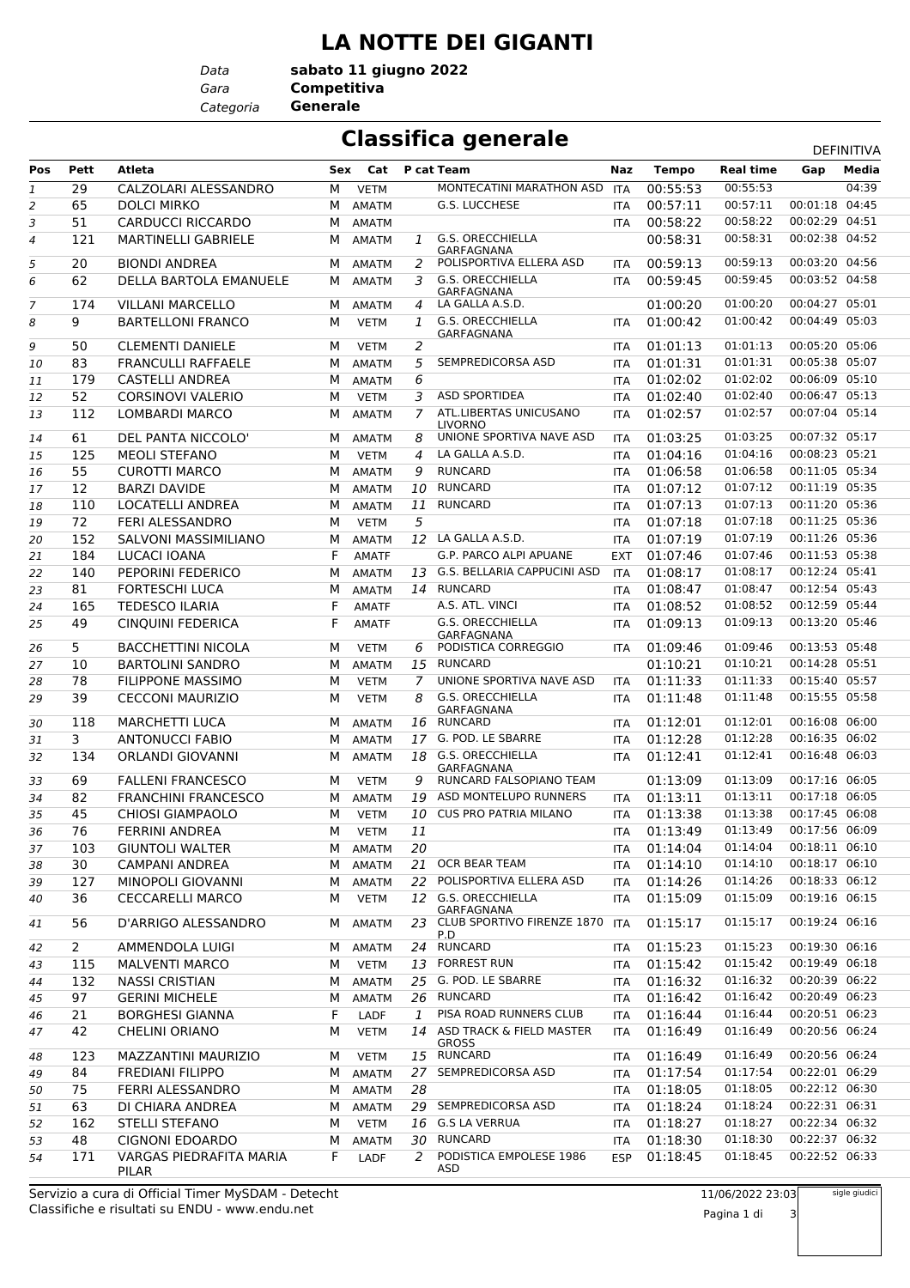## **LA NOTTE DEI GIGANTI**

*Data Categoria* **Generale**

*Gara* **Competitiva sabato 11 giugno 2022**

## **Classifica generale** DEFINITIVA

|                |                |                                  |     |              |                  |                                                                 |            | DEFINITIVA   |                      |                                  |       |
|----------------|----------------|----------------------------------|-----|--------------|------------------|-----------------------------------------------------------------|------------|--------------|----------------------|----------------------------------|-------|
| Pos            | <b>Pett</b>    | Atleta                           | Sex | Cat          |                  | <b>P</b> cat Team                                               | Naz        | <b>Tempo</b> | <b>Real time</b>     | Gap                              | Media |
| $\mathbf{1}$   | 29             | CALZOLARI ALESSANDRO             | М   | <b>VETM</b>  |                  | MONTECATINI MARATHON ASD                                        | <b>ITA</b> | 00:55:53     | 00:55:53             |                                  | 04:39 |
| 2              | 65             | <b>DOLCI MIRKO</b>               | М   | <b>AMATM</b> |                  | <b>G.S. LUCCHESE</b>                                            | <b>ITA</b> | 00:57:11     | 00:57:11             | 00:01:18 04:45                   |       |
| 3              | 51             | <b>CARDUCCI RICCARDO</b>         | M   | <b>AMATM</b> |                  |                                                                 | <b>ITA</b> | 00:58:22     | 00:58:22             | 00:02:29 04:51                   |       |
| $\overline{4}$ | 121            | <b>MARTINELLI GABRIELE</b>       | м   | <b>AMATM</b> | $\mathcal{I}$    | <b>G.S. ORECCHIELLA</b><br>GARFAGNANA                           |            | 00:58:31     | 00:58:31             | 00:02:38 04:52                   |       |
| 5              | 20             | <b>BIONDI ANDREA</b>             | м   | <b>AMATM</b> | 2                | POLISPORTIVA ELLERA ASD                                         | <b>ITA</b> | 00:59:13     | 00:59:13             | 00:03:20 04:56                   |       |
| 6              | 62             | <b>DELLA BARTOLA EMANUELE</b>    | М   | <b>AMATM</b> | 3                | G.S. ORECCHIELLA                                                | <b>ITA</b> | 00:59:45     | 00:59:45             | 00:03:52 04:58                   |       |
| 7              | 174            | <b>VILLANI MARCELLO</b>          | м   | <b>AMATM</b> | 4                | GARFAGNANA<br>LA GALLA A.S.D.                                   |            | 01:00:20     | 01:00:20             | 00:04:27 05:01                   |       |
| 8              | 9              | <b>BARTELLONI FRANCO</b>         | М   | <b>VETM</b>  | $\mathcal{I}$    | <b>G.S. ORECCHIELLA</b><br>GARFAGNANA                           | <b>ITA</b> | 01:00:42     | 01:00:42             | 00:04:49 05:03                   |       |
| 9              | 50             | <b>CLEMENTI DANIELE</b>          | M   | <b>VETM</b>  | 2                |                                                                 | <b>ITA</b> | 01:01:13     | 01:01:13             | 00:05:20 05:06                   |       |
| 10             | 83             | <b>FRANCULLI RAFFAELE</b>        | м   | <b>AMATM</b> | 5                | SEMPREDICORSA ASD                                               | <b>ITA</b> | 01:01:31     | 01:01:31             | 00:05:38 05:07                   |       |
| 11             | 179            | <b>CASTELLI ANDREA</b>           | М   | <b>AMATM</b> | 6                |                                                                 | <b>ITA</b> | 01:02:02     | 01:02:02             | 00:06:09 05:10                   |       |
| 12             | 52             | <b>CORSINOVI VALERIO</b>         | M   | <b>VETM</b>  | 3                | <b>ASD SPORTIDEA</b>                                            | <b>ITA</b> | 01:02:40     | 01:02:40             | 00:06:47 05:13                   |       |
| 13             | 112            | <b>LOMBARDI MARCO</b>            | м   | <b>AMATM</b> | 7                | ATL.LIBERTAS UNICUSANO                                          | <b>ITA</b> | 01:02:57     | 01:02:57             | 00:07:04 05:14                   |       |
|                |                |                                  |     |              |                  | <b>LIVORNO</b>                                                  |            |              |                      |                                  |       |
| 14             | 61             | DEL PANTA NICCOLO'               | м   | <b>AMATM</b> | 8                | UNIONE SPORTIVA NAVE ASD                                        | <b>ITA</b> | 01:03:25     | 01:03:25             | 00:07:32 05:17                   |       |
| 15             | 125            | <b>MEOLI STEFANO</b>             | м   | <b>VETM</b>  | $\boldsymbol{A}$ | LA GALLA A.S.D.                                                 | <b>ITA</b> | 01:04:16     | 01:04:16             | 00:08:23 05:21                   |       |
| 16             | 55             | <b>CUROTTI MARCO</b>             | М   | <b>AMATM</b> | 9                | <b>RUNCARD</b>                                                  | <b>ITA</b> | 01:06:58     | 01:06:58             | 00:11:05 05:34                   |       |
| 17             | 12             | <b>BARZI DAVIDE</b>              | M   | <b>AMATM</b> | 10               | <b>RUNCARD</b>                                                  | <b>ITA</b> | 01:07:12     | 01:07:12             | 00:11:19 05:35                   |       |
| 18             | 110            | <b>LOCATELLI ANDREA</b>          | M   | <b>AMATM</b> | 11               | <b>RUNCARD</b>                                                  | <b>ITA</b> | 01:07:13     | 01:07:13             | 00:11:20 05:36                   |       |
| 19             | 72             | <b>FERI ALESSANDRO</b>           | м   | <b>VETM</b>  | 5                |                                                                 | <b>ITA</b> | 01:07:18     | 01:07:18             | 00:11:25 05:36                   |       |
| 20             | 152            | <b>SALVONI MASSIMILIANO</b>      | M   | <b>AMATM</b> | 12               | LA GALLA A.S.D.                                                 | <b>ITA</b> | 01:07:19     | 01:07:19             | 00:11:26 05:36                   |       |
| 21             | 184            | LUCACI IOANA                     | F   | <b>AMATF</b> |                  | <b>G.P. PARCO ALPI APUANE</b>                                   | <b>EXT</b> | 01:07:46     | 01:07:46             | 00:11:53 05:38                   |       |
| 22             | 140            | PEPORINI FEDERICO                | м   | <b>AMATM</b> | 13               | <b>G.S. BELLARIA CAPPUCINI ASD</b>                              | <b>ITA</b> | 01:08:17     | 01:08:17             | 00:12:24 05:41                   |       |
| 23             | 81             | <b>FORTESCHI LUCA</b>            | M   | <b>AMATM</b> |                  | 14 RUNCARD                                                      | <b>ITA</b> | 01:08:47     | 01:08:47             | 00:12:54 05:43                   |       |
| 24             | 165            | <b>TEDESCO ILARIA</b>            | F   | <b>AMATF</b> |                  | A.S. ATL. VINCI                                                 | <b>ITA</b> | 01:08:52     | 01:08:52             | 00:12:59 05:44                   |       |
| 25             | 49             | CINQUINI FEDERICA                | F   | <b>AMATF</b> |                  | G.S. ORECCHIELLA<br>GARFAGNANA                                  | <b>ITA</b> | 01:09:13     | 01:09:13             | 00:13:20 05:46                   |       |
| 26             | 5              | BACCHETTINI NICOLA               | М   | <b>VETM</b>  | 6                | PODISTICA CORREGGIO                                             | <b>ITA</b> | 01:09:46     | 01:09:46             | 00:13:53 05:48                   |       |
| 27             | 10             | <b>BARTOLINI SANDRO</b>          | м   | <b>AMATM</b> | 15               | <b>RUNCARD</b>                                                  |            | 01:10:21     | 01:10:21             | 00:14:28 05:51                   |       |
| 28             | 78             | <b>FILIPPONE MASSIMO</b>         | M   | <b>VETM</b>  | 7                | UNIONE SPORTIVA NAVE ASD                                        | <b>ITA</b> | 01:11:33     | 01:11:33             | 00:15:40 05:57                   |       |
| 29             | 39             | <b>CECCONI MAURIZIO</b>          | м   | <b>VETM</b>  | 8                | <b>G.S. ORECCHIELLA</b><br>GARFAGNANA                           | <b>ITA</b> | 01:11:48     | 01:11:48             | 00:15:55 05:58                   |       |
| 30             | 118            | <b>MARCHETTI LUCA</b>            | м   | <b>AMATM</b> | 16               | <b>RUNCARD</b>                                                  | <b>ITA</b> | 01:12:01     | 01:12:01             | 00:16:08 06:00                   |       |
| 31             | 3              | <b>ANTONUCCI FABIO</b>           | м   | <b>AMATM</b> | 17               | G. POD. LE SBARRE                                               | <b>ITA</b> | 01:12:28     | 01:12:28             | 00:16:35 06:02                   |       |
| 32             | 134            | <b>ORLANDI GIOVANNI</b>          | м   | <b>AMATM</b> |                  | 18 G.S. ORECCHIELLA<br><b>GARFAGNANA</b>                        | <b>ITA</b> | 01:12:41     | 01:12:41             | 00:16:48 06:03                   |       |
| 33             | 69             | <b>FALLENI FRANCESCO</b>         | м   | <b>VETM</b>  | 9                | RUNCARD FALSOPIANO TEAM                                         |            | 01:13:09     | 01:13:09             | 00:17:16 06:05                   |       |
| 34             | 82             | <b>FRANCHINI FRANCESCO</b>       | M   | <b>AMATM</b> | 19               | ASD MONTELUPO RUNNERS                                           | ITA        | 01:13:11     | 01:13:11             | 00:17:18 06:05                   |       |
| 35             | 45             | <b>CHIOSI GIAMPAOLO</b>          | M   | <b>VETM</b>  | 10               | <b>CUS PRO PATRIA MILANO</b>                                    | <b>ITA</b> | 01:13:38     | 01:13:38             | 00:17:45 06:08                   |       |
| 36             | 76             | <b>FERRINI ANDREA</b>            | М   | <b>VETM</b>  | 11               |                                                                 | <b>ITA</b> | 01:13:49     | 01:13:49             | 00:17:56 06:09                   |       |
| 37             | 103            | <b>GIUNTOLI WALTER</b>           |     | M AMATM      | 20               |                                                                 | ITA        | 01:14:04     | 01:14:04             | 00:18:11 06:10                   |       |
| 38             | 30             | <b>CAMPANI ANDREA</b>            | М   | AMATM        | 21               | OCR BEAR TEAM                                                   | ITA        | 01:14:10     | 01:14:10             | 00:18:17 06:10                   |       |
| 39             | 127            | MINOPOLI GIOVANNI                | M   | AMATM        | 22               | POLISPORTIVA ELLERA ASD                                         | ITA        | 01:14:26     | 01:14:26             | 00:18:33 06:12                   |       |
| 40             | 36             | <b>CECCARELLI MARCO</b>          | м   | <b>VETM</b>  | 12               | G.S. ORECCHIELLA<br>GARFAGNANA<br>23 CLUB SPORTIVO FIRENZE 1870 | <b>ITA</b> | 01:15:09     | 01:15:09<br>01:15:17 | 00:19:16 06:15<br>00:19:24 06:16 |       |
| 41             | 56             | D'ARRIGO ALESSANDRO              | м   | <b>AMATM</b> |                  | P.D                                                             | <b>ITA</b> | 01:15:17     |                      |                                  |       |
| 42             | $\overline{2}$ | AMMENDOLA LUIGI                  | М   | AMATM        | 24               | RUNCARD                                                         | ITA        | 01:15:23     | 01:15:23             | 00:19:30 06:16                   |       |
| 43             | 115            | <b>MALVENTI MARCO</b>            | м   | <b>VETM</b>  | 13               | <b>FORREST RUN</b>                                              | ITA.       | 01:15:42     | 01:15:42             | 00:19:49 06:18                   |       |
| 44             | 132            | <b>NASSI CRISTIAN</b>            | М   | <b>AMATM</b> |                  | 25 G. POD. LE SBARRE                                            | ITA        | 01:16:32     | 01:16:32             | 00:20:39 06:22                   |       |
| 45             | 97             | <b>GERINI MICHELE</b>            | м   | <b>AMATM</b> | 26               | RUNCARD                                                         | ITA        | 01:16:42     | 01:16:42             | 00:20:49 06:23                   |       |
| 46             | 21             | <b>BORGHESI GIANNA</b>           | F   | LADF         | $\mathcal{I}$    | PISA ROAD RUNNERS CLUB                                          | ITA        | 01:16:44     | 01:16:44             | 00:20:51 06:23                   |       |
| 47             | 42             | <b>CHELINI ORIANO</b>            | м   | <b>VETM</b>  |                  | 14 ASD TRACK & FIELD MASTER<br><b>GROSS</b>                     | ITA        | 01:16:49     | 01:16:49             | 00:20:56 06:24                   |       |
| 48             | 123            | MAZZANTINI MAURIZIO              | м   | <b>VETM</b>  |                  | 15 RUNCARD                                                      | ITA        | 01:16:49     | 01:16:49             | 00:20:56 06:24                   |       |
| 49             | 84             | <b>FREDIANI FILIPPO</b>          | м   | AMATM        | 27               | SEMPREDICORSA ASD                                               | ITA        | 01:17:54     | 01:17:54             | 00:22:01 06:29                   |       |
| 50             | 75             | FERRI ALESSANDRO                 | м   | <b>AMATM</b> | 28               |                                                                 | <b>ITA</b> | 01:18:05     | 01:18:05             | 00:22:12 06:30                   |       |
| 51             | 63             | DI CHIARA ANDREA                 | м   | <b>AMATM</b> | 29               | SEMPREDICORSA ASD                                               | ITA        | 01:18:24     | 01:18:24             | 00:22:31 06:31                   |       |
| 52             | 162            | STELLI STEFANO                   | м   | <b>VETM</b>  |                  | 16 G.S LA VERRUA                                                | ITA        | 01:18:27     | 01:18:27             | 00:22:34 06:32                   |       |
| 53             | 48             | <b>CIGNONI EDOARDO</b>           | м   | AMATM        | 30               | RUNCARD                                                         | ITA        | 01:18:30     | 01:18:30             | 00:22:37 06:32                   |       |
| 54             | 171            | VARGAS PIEDRAFITA MARIA<br>PILAR | F.  | LADF         | 2                | PODISTICA EMPOLESE 1986<br>ASD                                  | <b>ESP</b> | 01:18:45     | 01:18:45             | 00:22:52 06:33                   |       |
|                |                |                                  |     |              |                  |                                                                 |            |              |                      |                                  |       |

Classifiche e risultati su ENDU - www.endu.net Servizio a cura di Official Timer MySDAM - Detecht sigle giudici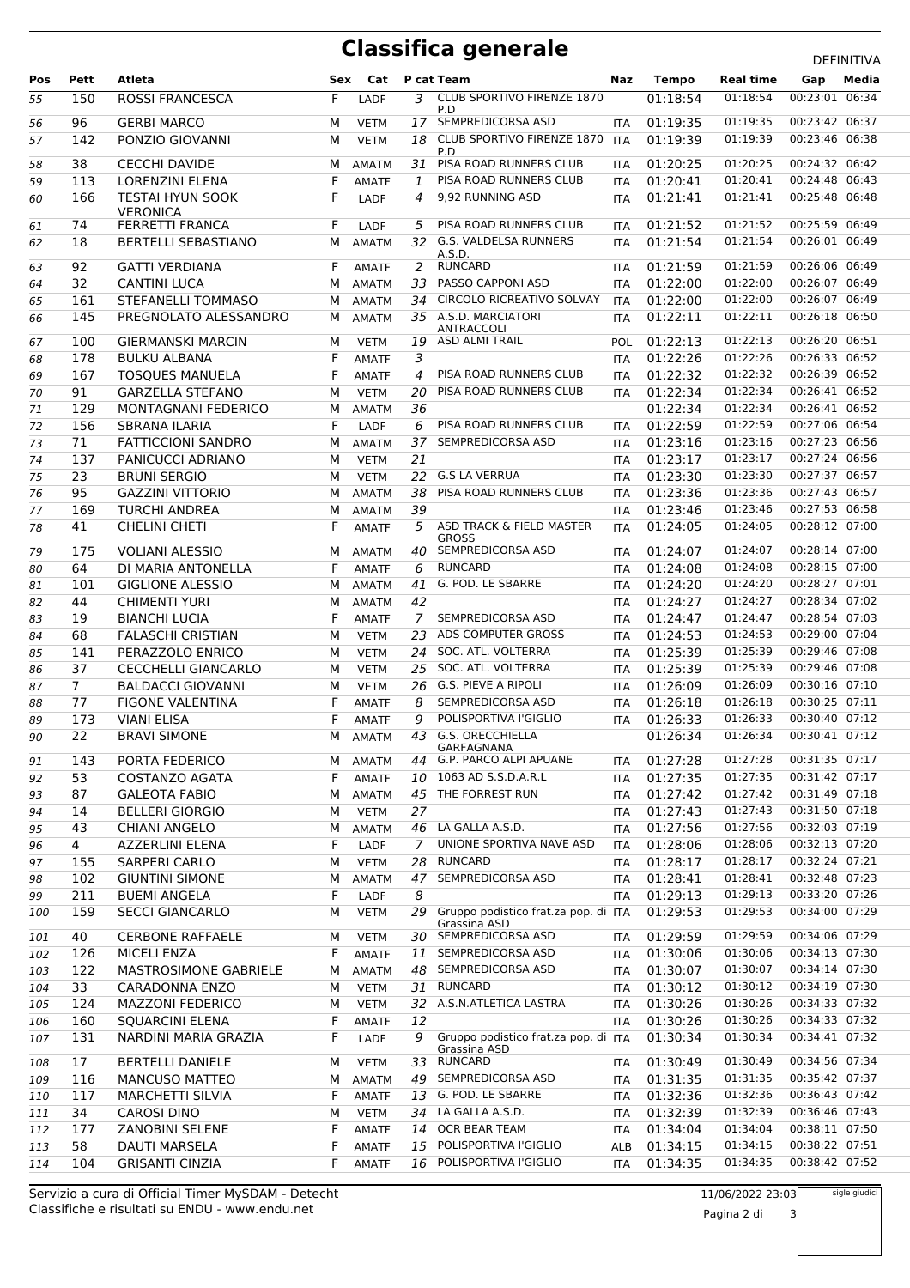## **Classifica generale**

|     | ----<br>$5 - 1 - 1$<br><b>DEFINITIVA</b> |                            |     |              |                |                                                  |            |              |                  |                                  |       |
|-----|------------------------------------------|----------------------------|-----|--------------|----------------|--------------------------------------------------|------------|--------------|------------------|----------------------------------|-------|
| Pos | Pett                                     | Atleta                     | Sex | Cat          |                | P cat Team                                       | Naz        | <b>Tempo</b> | <b>Real time</b> | Gap                              | Media |
| 55  | 150                                      | <b>ROSSI FRANCESCA</b>     | F   | LADF         | 3              | CLUB SPORTIVO FIRENZE 1870                       |            | 01:18:54     | 01:18:54         | 00:23:01                         | 06:34 |
|     |                                          |                            |     |              |                | P.D<br>17 SEMPREDICORSA ASD                      |            |              |                  |                                  |       |
| 56  | 96                                       | <b>GERBI MARCO</b>         | М   | <b>VETM</b>  |                |                                                  | <b>ITA</b> | 01:19:35     | 01:19:35         | 00:23:42 06:37<br>00:23:46 06:38 |       |
| 57  | 142                                      | PONZIO GIOVANNI            | м   | <b>VETM</b>  | 18             | <b>CLUB SPORTIVO FIRENZE 1870</b><br>P.D         | <b>ITA</b> | 01:19:39     | 01:19:39         |                                  |       |
| 58  | 38                                       | <b>CECCHI DAVIDE</b>       | м   | <b>AMATM</b> | 31             | PISA ROAD RUNNERS CLUB                           | <b>ITA</b> | 01:20:25     | 01:20:25         | 00:24:32 06:42                   |       |
| 59  | 113                                      | <b>LORENZINI ELENA</b>     | F   | <b>AMATF</b> | 1              | PISA ROAD RUNNERS CLUB                           | <b>ITA</b> | 01:20:41     | 01:20:41         | 00:24:48 06:43                   |       |
| 60  | 166                                      | <b>TESTAI HYUN SOOK</b>    | F   | LADF         | 4              | 9,92 RUNNING ASD                                 | ITA        | 01:21:41     | 01:21:41         | 00:25:48 06:48                   |       |
|     |                                          | <b>VERONICA</b>            |     |              |                |                                                  |            |              |                  |                                  |       |
| 61  | 74                                       | FERRETTI FRANCA            | F   | LADF         | 5              | PISA ROAD RUNNERS CLUB                           | ITA        | 01:21:52     | 01:21:52         | 00:25:59 06:49                   |       |
| 62  | 18                                       | <b>BERTELLI SEBASTIANO</b> | М   | <b>AMATM</b> | 32             | G.S. VALDELSA RUNNERS<br>A.S.D.                  | <b>ITA</b> | 01:21:54     | 01:21:54         | 00:26:01 06:49                   |       |
| 63  | 92                                       | <b>GATTI VERDIANA</b>      | F.  | <b>AMATF</b> | 2              | <b>RUNCARD</b>                                   | ITA        | 01:21:59     | 01:21:59         | 00:26:06 06:49                   |       |
| 64  | 32                                       | <b>CANTINI LUCA</b>        | м   | <b>AMATM</b> | 33             | PASSO CAPPONI ASD                                | <b>ITA</b> | 01:22:00     | 01:22:00         | 00:26:07 06:49                   |       |
| 65  | 161                                      | <b>STEFANELLI TOMMASO</b>  | м   | AMATM        | 34             | <b>CIRCOLO RICREATIVO SOLVAY</b>                 | <b>ITA</b> | 01:22:00     | 01:22:00         | 00:26:07 06:49                   |       |
| 66  | 145                                      | PREGNOLATO ALESSANDRO      | м   | AMATM        |                | 35 A.S.D. MARCIATORI                             | ITA        | 01:22:11     | 01:22:11         | 00:26:18 06:50                   |       |
|     |                                          |                            |     |              |                | <b>ANTRACCOLI</b>                                |            |              |                  |                                  |       |
| 67  | 100                                      | <b>GIERMANSKI MARCIN</b>   | м   | <b>VETM</b>  |                | 19 ASD ALMI TRAIL                                | POL        | 01:22:13     | 01:22:13         | 00:26:20 06:51                   |       |
| 68  | 178                                      | <b>BULKU ALBANA</b>        | F   | <b>AMATF</b> | 3              |                                                  | <b>ITA</b> | 01:22:26     | 01:22:26         | 00:26:33 06:52                   |       |
| 69  | 167                                      | <b>TOSQUES MANUELA</b>     | F   | <b>AMATF</b> | $\overline{4}$ | PISA ROAD RUNNERS CLUB                           | <b>ITA</b> | 01:22:32     | 01:22:32         | 00:26:39 06:52                   |       |
| 70  | 91                                       | <b>GARZELLA STEFANO</b>    | М   | <b>VETM</b>  | 20             | PISA ROAD RUNNERS CLUB                           | <b>ITA</b> | 01:22:34     | 01:22:34         | 00:26:41 06:52                   |       |
| 71  | 129                                      | <b>MONTAGNANI FEDERICO</b> | м   | <b>AMATM</b> | 36             |                                                  |            | 01:22:34     | 01:22:34         | 00:26:41 06:52                   |       |
| 72  | 156                                      | <b>SBRANA ILARIA</b>       | F   | LADF         | 6              | PISA ROAD RUNNERS CLUB                           | <b>ITA</b> | 01:22:59     | 01:22:59         | 00:27:06 06:54                   |       |
| 73  | 71                                       | <b>FATTICCIONI SANDRO</b>  | м   | <b>AMATM</b> | 37             | SEMPREDICORSA ASD                                | <b>ITA</b> | 01:23:16     | 01:23:16         | 00:27:23 06:56                   |       |
| 74  | 137                                      | PANICUCCI ADRIANO          | М   | <b>VETM</b>  | 21             |                                                  | <b>ITA</b> | 01:23:17     | 01:23:17         | 00:27:24 06:56                   |       |
| 75  | 23                                       | <b>BRUNI SERGIO</b>        | М   | <b>VETM</b>  | 22             | <b>G.S LA VERRUA</b>                             | <b>ITA</b> | 01:23:30     | 01:23:30         | 00:27:37 06:57                   |       |
| 76  | 95                                       | <b>GAZZINI VITTORIO</b>    | м   | <b>AMATM</b> | 38             | PISA ROAD RUNNERS CLUB                           | ITA        | 01:23:36     | 01:23:36         | 00:27:43 06:57                   |       |
| 77  | 169                                      | <b>TURCHI ANDREA</b>       | м   | AMATM        | 39             |                                                  | ITA        | 01:23:46     | 01:23:46         | 00:27:53 06:58                   |       |
| 78  | 41                                       | <b>CHELINI CHETI</b>       | F   | <b>AMATF</b> | 5              | ASD TRACK & FIELD MASTER                         | <b>ITA</b> | 01:24:05     | 01:24:05         | 00:28:12 07:00                   |       |
|     |                                          |                            |     |              |                | <b>GROSS</b>                                     |            |              |                  |                                  |       |
| 79  | 175                                      | <b>VOLIANI ALESSIO</b>     | м   | AMATM        | 40             | SEMPREDICORSA ASD                                | <b>ITA</b> | 01:24:07     | 01:24:07         | 00:28:14 07:00                   |       |
| 80  | 64                                       | DI MARIA ANTONELLA         | F   | <b>AMATF</b> | 6              | <b>RUNCARD</b>                                   | <b>ITA</b> | 01:24:08     | 01:24:08         | 00:28:15 07:00                   |       |
| 81  | 101                                      | <b>GIGLIONE ALESSIO</b>    | м   | AMATM        | 41             | G. POD. LE SBARRE                                | <b>ITA</b> | 01:24:20     | 01:24:20         | 00:28:27 07:01                   |       |
| 82  | 44                                       | <b>CHIMENTI YURI</b>       | М   | AMATM        | 42             |                                                  | <b>ITA</b> | 01:24:27     | 01:24:27         | 00:28:34 07:02                   |       |
| 83  | 19                                       | <b>BIANCHI LUCIA</b>       | F   | <b>AMATF</b> | $\overline{7}$ | SEMPREDICORSA ASD                                | <b>ITA</b> | 01:24:47     | 01:24:47         | 00:28:54 07:03                   |       |
| 84  | 68                                       | <b>FALASCHI CRISTIAN</b>   | м   | <b>VETM</b>  | 23             | ADS COMPUTER GROSS                               | <b>ITA</b> | 01:24:53     | 01:24:53         | 00:29:00 07:04                   |       |
| 85  | 141                                      | PERAZZOLO ENRICO           | М   | <b>VETM</b>  | 24             | SOC. ATL. VOLTERRA                               | <b>ITA</b> | 01:25:39     | 01:25:39         | 00:29:46 07:08                   |       |
| 86  | 37                                       | <b>CECCHELLI GIANCARLO</b> | М   | <b>VETM</b>  | 25             | SOC. ATL. VOLTERRA                               | <b>ITA</b> | 01:25:39     | 01:25:39         | 00:29:46 07:08                   |       |
| 87  | 7 <sup>7</sup>                           | <b>BALDACCI GIOVANNI</b>   | м   | <b>VETM</b>  | 26             | <b>G.S. PIEVE A RIPOLI</b>                       | <b>ITA</b> | 01:26:09     | 01:26:09         | 00:30:16 07:10                   |       |
| 88  | 77                                       | <b>FIGONE VALENTINA</b>    | F   | <b>AMATF</b> | 8              | SEMPREDICORSA ASD                                | ITA        | 01:26:18     | 01:26:18         | 00:30:25 07:11                   |       |
| 89  | 173                                      | <b>VIANI ELISA</b>         | F   | <b>AMATF</b> | 9              | POLISPORTIVA l'GIGLIO                            | <b>ITA</b> | 01:26:33     | 01:26:33         | 00:30:40 07:12                   |       |
| 90  | 22                                       | <b>BRAVI SIMONE</b>        | М   | AMATM        |                | 43 G.S. ORECCHIELLA                              |            | 01:26:34     | 01:26:34         | 00:30:41 07:12                   |       |
|     |                                          | PORTA FEDERICO             |     |              |                | GARFAGNANA<br>G.P. PARCO ALPI APUANE             |            | 01:27:28     | 01:27:28         | 00:31:35 07:17                   |       |
| 91  | 143                                      |                            |     | M AMATM      | 44             | 1063 AD S.S.D.A.R.L                              | <b>ITA</b> |              | 01:27:35         | 00:31:42 07:17                   |       |
| 92  | 53                                       | <b>COSTANZO AGATA</b>      | F   | <b>AMATF</b> | 10             |                                                  | ITA        | 01:27:35     |                  |                                  |       |
| 93  | 87                                       | <b>GALEOTA FABIO</b>       | м   | AMATM        |                | 45 THE FORREST RUN                               | ITA        | 01:27:42     | 01:27:42         | 00:31:49 07:18                   |       |
| 94  | 14                                       | <b>BELLERI GIORGIO</b>     | М   | <b>VETM</b>  | 27             |                                                  | <b>ITA</b> | 01:27:43     | 01:27:43         | 00:31:50 07:18                   |       |
| 95  | 43                                       | CHIANI ANGELO              | м   | AMATM        |                | 46 LA GALLA A.S.D.                               | ITA        | 01:27:56     | 01:27:56         | 00:32:03 07:19                   |       |
| 96  | $\overline{4}$                           | AZZERLINI ELENA            | F   | LADF         | 7              | UNIONE SPORTIVA NAVE ASD                         | ITA        | 01:28:06     | 01:28:06         | 00:32:13 07:20                   |       |
| 97  | 155                                      | <b>SARPERI CARLO</b>       | М   | <b>VETM</b>  | 28             | <b>RUNCARD</b>                                   | ITA        | 01:28:17     | 01:28:17         | 00:32:24 07:21                   |       |
| 98  | 102                                      | <b>GIUNTINI SIMONE</b>     | м   | <b>AMATM</b> | 47             | SEMPREDICORSA ASD                                | <b>ITA</b> | 01:28:41     | 01:28:41         | 00:32:48 07:23                   |       |
| 99  | 211                                      | <b>BUEMI ANGELA</b>        | F   | LADF         | 8              |                                                  | <b>ITA</b> | 01:29:13     | 01:29:13         | 00:33:20 07:26                   |       |
| 100 | 159                                      | <b>SECCI GIANCARLO</b>     | М   | <b>VETM</b>  | 29             | Gruppo podistico frat.za pop. di                 | <b>ITA</b> | 01:29:53     | 01:29:53         | 00:34:00 07:29                   |       |
| 101 | 40                                       | <b>CERBONE RAFFAELE</b>    | м   | <b>VETM</b>  | 30             | Grassina ASD<br>SEMPREDICORSA ASD                | ITA        | 01:29:59     | 01:29:59         | 00:34:06 07:29                   |       |
| 102 | 126                                      | <b>MICELI ENZA</b>         | F   | <b>AMATF</b> |                | 11 SEMPREDICORSA ASD                             | ITA        | 01:30:06     | 01:30:06         | 00:34:13 07:30                   |       |
|     | 122                                      | MASTROSIMONE GABRIELE      | М   | <b>AMATM</b> | 48             | SEMPREDICORSA ASD                                | <b>ITA</b> | 01:30:07     | 01:30:07         | 00:34:14 07:30                   |       |
| 103 | 33                                       | <b>CARADONNA ENZO</b>      |     |              |                | <b>RUNCARD</b>                                   |            | 01:30:12     | 01:30:12         | 00:34:19 07:30                   |       |
| 104 |                                          |                            | М   | <b>VETM</b>  | 31             |                                                  | ITA        |              |                  |                                  |       |
| 105 | 124                                      | <b>MAZZONI FEDERICO</b>    | М   | <b>VETM</b>  | 32             | A.S.N.ATLETICA LASTRA                            | ITA        | 01:30:26     | 01:30:26         | 00:34:33 07:32<br>00:34:33 07:32 |       |
| 106 | 160                                      | <b>SQUARCINI ELENA</b>     | F   | <b>AMATF</b> | 12             |                                                  | <b>ITA</b> | 01:30:26     | 01:30:26         |                                  |       |
| 107 | 131                                      | NARDINI MARIA GRAZIA       | F   | LADF         | 9              | Gruppo podistico frat.za pop. di<br>Grassina ASD | <b>ITA</b> | 01:30:34     | 01:30:34         | 00:34:41 07:32                   |       |
| 108 | 17                                       | <b>BERTELLI DANIELE</b>    | М   | <b>VETM</b>  | 33             | <b>RUNCARD</b>                                   | <b>ITA</b> | 01:30:49     | 01:30:49         | 00:34:56 07:34                   |       |
| 109 | 116                                      | <b>MANCUSO MATTEO</b>      | м   | <b>AMATM</b> | 49             | SEMPREDICORSA ASD                                | ITA        | 01:31:35     | 01:31:35         | 00:35:42 07:37                   |       |
| 110 | 117                                      | <b>MARCHETTI SILVIA</b>    | F   | <b>AMATF</b> | 13             | G. POD. LE SBARRE                                | ITA        | 01:32:36     | 01:32:36         | 00:36:43 07:42                   |       |
| 111 | 34                                       | CAROSI DINO                | м   | <b>VETM</b>  | 34             | LA GALLA A.S.D.                                  | ITA        | 01:32:39     | 01:32:39         | 00:36:46 07:43                   |       |
| 112 | 177                                      | <b>ZANOBINI SELENE</b>     | F   | <b>AMATF</b> | 14             | OCR BEAR TEAM                                    | ITA        | 01:34:04     | 01:34:04         | 00:38:11 07:50                   |       |
| 113 | 58                                       | DAUTI MARSELA              | F   | <b>AMATF</b> | 15             | POLISPORTIVA l'GIGLIO                            | ALB        | 01:34:15     | 01:34:15         | 00:38:22 07:51                   |       |
| 114 | 104                                      | <b>GRISANTI CINZIA</b>     | F   | <b>AMATF</b> | 16             | POLISPORTIVA l'GIGLIO                            | ITA        | 01:34:35     | 01:34:35         | 00:38:42 07:52                   |       |
|     |                                          |                            |     |              |                |                                                  |            |              |                  |                                  |       |

Pagina 2 di 3

sigle giudici